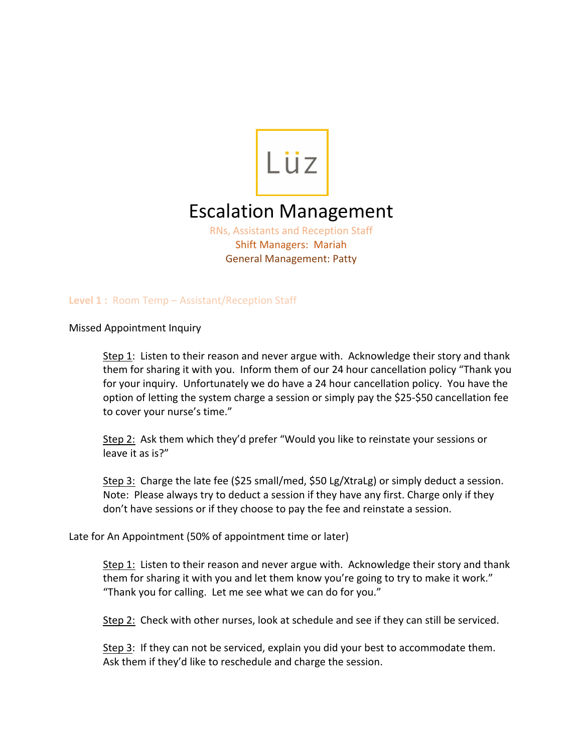

# Escalation Management

RNs, Assistants and Reception Staff Shift Managers: Mariah General Management: Patty

**Level 1 :** Room Temp – Assistant/Reception Staff

Missed Appointment Inquiry

Step 1: Listen to their reason and never argue with. Acknowledge their story and thank them for sharing it with you. Inform them of our 24 hour cancellation policy "Thank you for your inquiry. Unfortunately we do have a 24 hour cancellation policy. You have the option of letting the system charge a session or simply pay the \$25-\$50 cancellation fee to cover your nurse's time."

Step 2: Ask them which they'd prefer "Would you like to reinstate your sessions or leave it as is?"

Step 3: Charge the late fee (\$25 small/med, \$50 Lg/XtraLg) or simply deduct a session. Note: Please always try to deduct a session if they have any first. Charge only if they don't have sessions or if they choose to pay the fee and reinstate a session.

Late for An Appointment (50% of appointment time or later)

Step 1: Listen to their reason and never argue with. Acknowledge their story and thank them for sharing it with you and let them know you're going to try to make it work." "Thank you for calling. Let me see what we can do for you."

Step 2: Check with other nurses, look at schedule and see if they can still be serviced.

Step 3: If they can not be serviced, explain you did your best to accommodate them. Ask them if they'd like to reschedule and charge the session.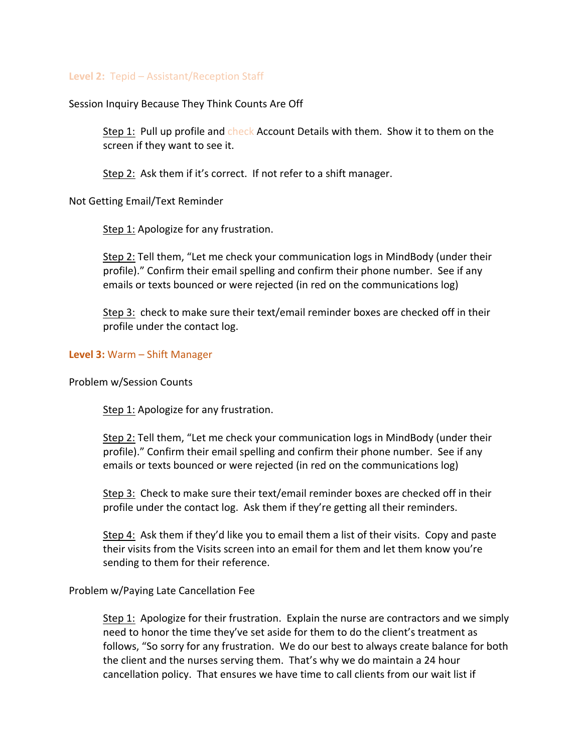### **Level 2:** Tepid – Assistant/Reception Staff

Session Inquiry Because They Think Counts Are Off

Step 1: Pull up profile and check Account Details with them. Show it to them on the screen if they want to see it.

Step 2: Ask them if it's correct. If not refer to a shift manager.

Not Getting Email/Text Reminder

Step 1: Apologize for any frustration.

Step 2: Tell them, "Let me check your communication logs in MindBody (under their profile)." Confirm their email spelling and confirm their phone number. See if any emails or texts bounced or were rejected (in red on the communications log)

Step 3: check to make sure their text/email reminder boxes are checked off in their profile under the contact log.

#### **Level 3:** Warm – Shift Manager

Problem w/Session Counts

Step 1: Apologize for any frustration.

Step 2: Tell them, "Let me check your communication logs in MindBody (under their profile)." Confirm their email spelling and confirm their phone number. See if any emails or texts bounced or were rejected (in red on the communications log)

Step 3: Check to make sure their text/email reminder boxes are checked off in their profile under the contact log. Ask them if they're getting all their reminders.

Step 4: Ask them if they'd like you to email them a list of their visits. Copy and paste their visits from the Visits screen into an email for them and let them know you're sending to them for their reference.

Problem w/Paying Late Cancellation Fee

Step 1: Apologize for their frustration. Explain the nurse are contractors and we simply need to honor the time they've set aside for them to do the client's treatment as follows, "So sorry for any frustration. We do our best to always create balance for both the client and the nurses serving them. That's why we do maintain a 24 hour cancellation policy. That ensures we have time to call clients from our wait list if